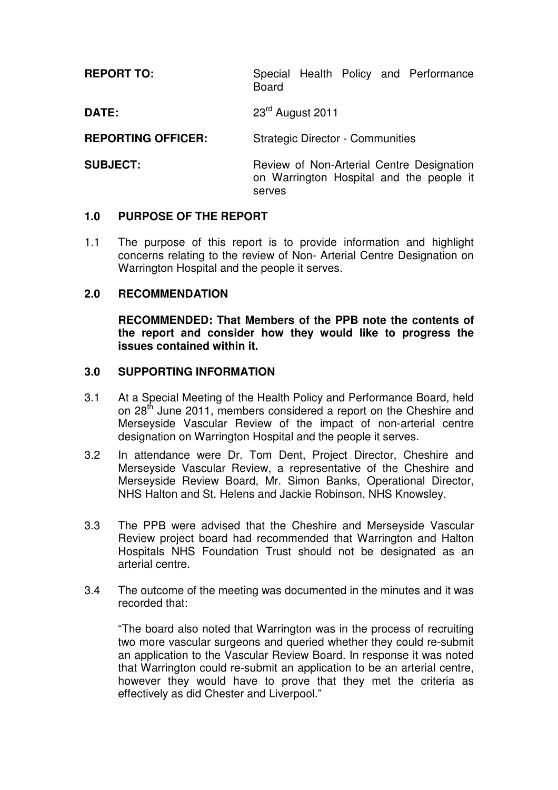| <b>REPORT TO:</b>         | Special Health Policy and Performance<br><b>Board</b>                                           |  |  |
|---------------------------|-------------------------------------------------------------------------------------------------|--|--|
| <b>DATE:</b>              | 23 <sup>rd</sup> August 2011                                                                    |  |  |
| <b>REPORTING OFFICER:</b> | <b>Strategic Director - Communities</b>                                                         |  |  |
| <b>SUBJECT:</b>           | Review of Non-Arterial Centre Designation<br>on Warrington Hospital and the people it<br>serves |  |  |

#### **1.0 PURPOSE OF THE REPORT**

1.1 The purpose of this report is to provide information and highlight concerns relating to the review of Non- Arterial Centre Designation on Warrington Hospital and the people it serves.

#### **2.0 RECOMMENDATION**

**RECOMMENDED: That Members of the PPB note the contents of the report and consider how they would like to progress the issues contained within it.** 

#### **3.0 SUPPORTING INFORMATION**

- 3.1 At a Special Meeting of the Health Policy and Performance Board, held on 28<sup>th</sup> June 2011, members considered a report on the Cheshire and Merseyside Vascular Review of the impact of non-arterial centre designation on Warrington Hospital and the people it serves.
- 3.2 In attendance were Dr. Tom Dent, Project Director, Cheshire and Merseyside Vascular Review, a representative of the Cheshire and Merseyside Review Board, Mr. Simon Banks, Operational Director, NHS Halton and St. Helens and Jackie Robinson, NHS Knowsley.
- 3.3 The PPB were advised that the Cheshire and Merseyside Vascular Review project board had recommended that Warrington and Halton Hospitals NHS Foundation Trust should not be designated as an arterial centre.
- 3.4 The outcome of the meeting was documented in the minutes and it was recorded that:

 "The board also noted that Warrington was in the process of recruiting two more vascular surgeons and queried whether they could re-submit an application to the Vascular Review Board. In response it was noted that Warrington could re-submit an application to be an arterial centre, however they would have to prove that they met the criteria as effectively as did Chester and Liverpool."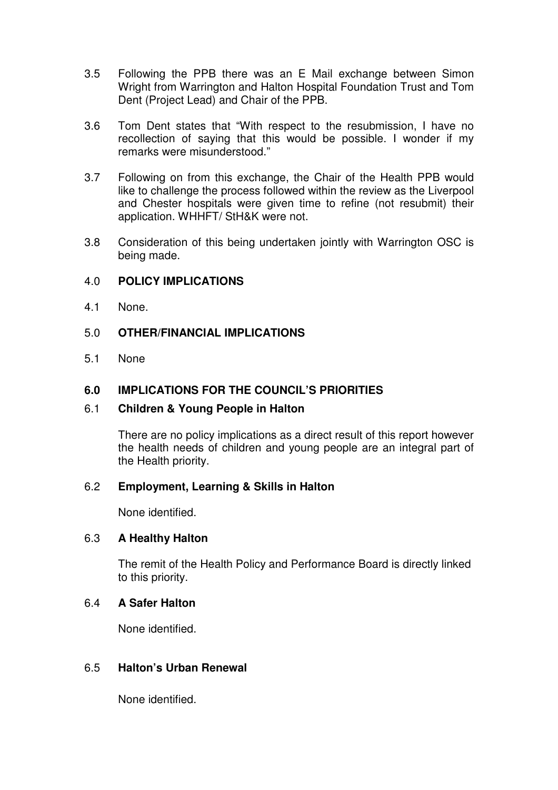- 3.5 Following the PPB there was an E Mail exchange between Simon Wright from Warrington and Halton Hospital Foundation Trust and Tom Dent (Project Lead) and Chair of the PPB.
- 3.6 Tom Dent states that "With respect to the resubmission, I have no recollection of saying that this would be possible. I wonder if my remarks were misunderstood."
- 3.7 Following on from this exchange, the Chair of the Health PPB would like to challenge the process followed within the review as the Liverpool and Chester hospitals were given time to refine (not resubmit) their application. WHHFT/ StH&K were not.
- 3.8 Consideration of this being undertaken jointly with Warrington OSC is being made.

## 4.0 **POLICY IMPLICATIONS**

4.1 None.

# 5.0 **OTHER/FINANCIAL IMPLICATIONS**

5.1 None

# **6.0 IMPLICATIONS FOR THE COUNCIL'S PRIORITIES**

## 6.1 **Children & Young People in Halton**

There are no policy implications as a direct result of this report however the health needs of children and young people are an integral part of the Health priority.

## 6.2 **Employment, Learning & Skills in Halton**

None identified.

## 6.3 **A Healthy Halton**

The remit of the Health Policy and Performance Board is directly linked to this priority.

## 6.4 **A Safer Halton**

None identified.

## 6.5 **Halton's Urban Renewal**

None identified.